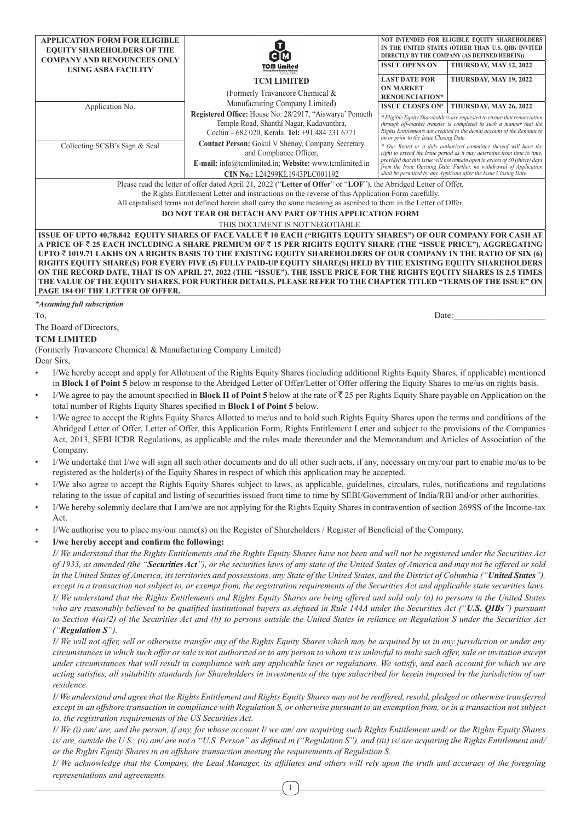| <b>APPLICATION FORM FOR ELIGIBLE</b>                                                                                                                                                                                                       |                                                                                                                                                                                                                                    |                                                                                                                                                        | NOT INTENDED FOR ELIGIBLE EQUITY SHAREHOLDERS                      |  |  |  |  |  |  |  |
|--------------------------------------------------------------------------------------------------------------------------------------------------------------------------------------------------------------------------------------------|------------------------------------------------------------------------------------------------------------------------------------------------------------------------------------------------------------------------------------|--------------------------------------------------------------------------------------------------------------------------------------------------------|--------------------------------------------------------------------|--|--|--|--|--|--|--|
| <b>EQUITY SHAREHOLDERS OF THE</b>                                                                                                                                                                                                          |                                                                                                                                                                                                                                    | IN THE UNITED STATES (OTHER THAN U.S. QIBs INVITED<br>DIRECTLY BY THE COMPANY (AS DEFINED HEREIN))                                                     |                                                                    |  |  |  |  |  |  |  |
| <b>COMPANY AND RENOUNCEES ONLY</b>                                                                                                                                                                                                         | TCM limited                                                                                                                                                                                                                        | <b>ISSUE OPENS ON</b>                                                                                                                                  | <b>THURSDAY, MAY 12, 2022</b>                                      |  |  |  |  |  |  |  |
| <b>USING ASBA FACILITY</b>                                                                                                                                                                                                                 |                                                                                                                                                                                                                                    |                                                                                                                                                        |                                                                    |  |  |  |  |  |  |  |
|                                                                                                                                                                                                                                            | <b>TCM LIMITED</b>                                                                                                                                                                                                                 | <b>LAST DATE FOR</b><br><b>ON MARKET</b>                                                                                                               | THURSDAY, MAY 19, 2022                                             |  |  |  |  |  |  |  |
|                                                                                                                                                                                                                                            | (Formerly Travancore Chemical &                                                                                                                                                                                                    | <b>RENOUNCIATION*</b>                                                                                                                                  |                                                                    |  |  |  |  |  |  |  |
| Application No.                                                                                                                                                                                                                            | Manufacturing Company Limited)                                                                                                                                                                                                     | <b>ISSUE CLOSES ON#</b>                                                                                                                                | THURSDAY, MAY 26, 2022                                             |  |  |  |  |  |  |  |
|                                                                                                                                                                                                                                            | Registered Office: House No: 28/2917, "Aiswarya' Ponneth                                                                                                                                                                           | # Eligible Equity Shareholders are requested to ensure that renunciation                                                                               |                                                                    |  |  |  |  |  |  |  |
|                                                                                                                                                                                                                                            | Temple Road, Shanthi Nagar, Kadavanthra,                                                                                                                                                                                           | through off-market transfer is completed in such a manner that the                                                                                     |                                                                    |  |  |  |  |  |  |  |
|                                                                                                                                                                                                                                            | Cochin – 682 020, Kerala. Tel: +91 484 231 6771                                                                                                                                                                                    | Rights Entitlements are credited to the demat account of the Renouncee<br>on or prior to the Issue Closing Date.                                       |                                                                    |  |  |  |  |  |  |  |
| Collecting SCSB's Sign & Seal                                                                                                                                                                                                              | Contact Person: Gokul V Shenoy, Company Secretary                                                                                                                                                                                  | * Our Board or a duly authorized committee thereof will have the                                                                                       |                                                                    |  |  |  |  |  |  |  |
|                                                                                                                                                                                                                                            | and Compliance Officer,                                                                                                                                                                                                            | right to extend the Issue period as it may determine from time to time,<br>provided that this Issue will not remain open in excess of 30 (thirty) days |                                                                    |  |  |  |  |  |  |  |
|                                                                                                                                                                                                                                            | E-mail: info@tcmlimited.in; Website: www.tcmlimited.in<br>CIN No.: L24299KL1943PLC001192                                                                                                                                           |                                                                                                                                                        | from the Issue Opening Date. Further, no withdrawal of Application |  |  |  |  |  |  |  |
|                                                                                                                                                                                                                                            |                                                                                                                                                                                                                                    | shall be permitted by any Applicant after the Issue Closing Date.                                                                                      |                                                                    |  |  |  |  |  |  |  |
| Please read the letter of offer dated April 21, 2022 ("Letter of Offer" or "LOF"), the Abridged Letter of Offer,                                                                                                                           |                                                                                                                                                                                                                                    |                                                                                                                                                        |                                                                    |  |  |  |  |  |  |  |
|                                                                                                                                                                                                                                            | the Rights Entitlement Letter and instructions on the reverse of this Application Form carefully.                                                                                                                                  |                                                                                                                                                        |                                                                    |  |  |  |  |  |  |  |
| All capitalised terms not defined herein shall carry the same meaning as ascribed to them in the Letter of Offer.                                                                                                                          |                                                                                                                                                                                                                                    |                                                                                                                                                        |                                                                    |  |  |  |  |  |  |  |
|                                                                                                                                                                                                                                            | <b>DO NOT TEAR OR DETACH ANY PART OF THIS APPLICATION FORM</b>                                                                                                                                                                     |                                                                                                                                                        |                                                                    |  |  |  |  |  |  |  |
|                                                                                                                                                                                                                                            | THIS DOCUMENT IS NOT NEGOTIABLE.                                                                                                                                                                                                   |                                                                                                                                                        |                                                                    |  |  |  |  |  |  |  |
|                                                                                                                                                                                                                                            | ISSUE OF UPTO 40,78,842 EQUITY SHARES OF FACE VALUE ₹ 10 EACH ("RIGHTS EQUITY SHARES") OF OUR COMPANY FOR CASH AT                                                                                                                  |                                                                                                                                                        |                                                                    |  |  |  |  |  |  |  |
|                                                                                                                                                                                                                                            | A PRICE OF ₹ 25 EACH INCLUDING A SHARE PREMIUM OF ₹ 15 PER RIGHTS EQUITY SHARE (THE "ISSUE PRICE"), AGGREGATING<br>UPTO₹1019.71 LAKHS ON A RIGHTS BASIS TO THE EXISTING EQUITY SHAREHOLDERS OF OUR COMPANY IN THE RATIO OF SIX (6) |                                                                                                                                                        |                                                                    |  |  |  |  |  |  |  |
|                                                                                                                                                                                                                                            |                                                                                                                                                                                                                                    |                                                                                                                                                        |                                                                    |  |  |  |  |  |  |  |
| RIGHTS EQUITY SHARE(S) FOR EVERY FIVE (5) FULLY PAID-UP EQUITY SHARE(S) HELD BY THE EXISTING EQUITY SHAREHOLDERS<br>ON THE RECORD DATE, THAT IS ON APRIL 27, 2022 (THE "ISSUE"). THE ISSUE PRICE FOR THE RIGHTS EQUITY SHARES IS 2.5 TIMES |                                                                                                                                                                                                                                    |                                                                                                                                                        |                                                                    |  |  |  |  |  |  |  |
|                                                                                                                                                                                                                                            | THE VALUE OF THE EQUITY SHARES. FOR FURTHER DETAILS, PLEASE REFER TO THE CHAPTER TITLED "TERMS OF THE ISSUE" ON                                                                                                                    |                                                                                                                                                        |                                                                    |  |  |  |  |  |  |  |
| PAGE 184 OF THE LETTER OF OFFER.                                                                                                                                                                                                           |                                                                                                                                                                                                                                    |                                                                                                                                                        |                                                                    |  |  |  |  |  |  |  |
| *Assuming full subscription                                                                                                                                                                                                                |                                                                                                                                                                                                                                    |                                                                                                                                                        |                                                                    |  |  |  |  |  |  |  |
| To.                                                                                                                                                                                                                                        |                                                                                                                                                                                                                                    |                                                                                                                                                        | Date:                                                              |  |  |  |  |  |  |  |
| The Board of Directors,                                                                                                                                                                                                                    |                                                                                                                                                                                                                                    |                                                                                                                                                        |                                                                    |  |  |  |  |  |  |  |
| <b>TCM LIMITED</b>                                                                                                                                                                                                                         |                                                                                                                                                                                                                                    |                                                                                                                                                        |                                                                    |  |  |  |  |  |  |  |
| (Formerly Travancore Chemical & Manufacturing Company Limited)                                                                                                                                                                             |                                                                                                                                                                                                                                    |                                                                                                                                                        |                                                                    |  |  |  |  |  |  |  |
| Dear Sirs.                                                                                                                                                                                                                                 |                                                                                                                                                                                                                                    |                                                                                                                                                        |                                                                    |  |  |  |  |  |  |  |

- I/We hereby accept and apply for Allotment of the Rights Equity Shares (including additional Rights Equity Shares, if applicable) mentioned in **Block I of Point 5** below in response to the Abridged Letter of Offer/Letter of Offer offering the Equity Shares to me/us on rights basis.
- I/We agree to pay the amount specified in **Block II of Point 5** below at the rate of ` 25 per Rights Equity Share payable on Application on the total number of Rights Equity Shares specified in **Block I of Point 5** below.
- I/We agree to accept the Rights Equity Shares Allotted to me/us and to hold such Rights Equity Shares upon the terms and conditions of the Abridged Letter of Offer, Letter of Offer, this Application Form, Rights Entitlement Letter and subject to the provisions of the Companies Act, 2013, SEBI ICDR Regulations, as applicable and the rules made thereunder and the Memorandum and Articles of Association of the Company.
- I/We undertake that I/we will sign all such other documents and do all other such acts, if any, necessary on my/our part to enable me/us to be registered as the holder(s) of the Equity Shares in respect of which this application may be accepted.
- I/We also agree to accept the Rights Equity Shares subject to laws, as applicable, guidelines, circulars, rules, notifications and regulations relating to the issue of capital and listing of securities issued from time to time by SEBI/Government of India/RBI and/or other authorities.
- I/We hereby solemnly declare that I am/we are not applying for the Rights Equity Shares in contravention of section 269SS of the Income-tax Act.
- I/We authorise you to place my/our name(s) on the Register of Shareholders / Register of Beneficial of the Company.
- **I/we hereby accept and confirm the following:**

*I/ We understand that the Rights Entitlements and the Rights Equity Shares have not been and will not be registered under the Securities Act of 1933, as amended (the "Securities Act"), or the securities laws of any state of the United States of America and may not be offered or sold in the United States of America, its territories and possessions, any State of the United States, and the District of Columbia ("United States"), except in a transaction not subject to, or exempt from, the registration requirements of the Securities Act and applicable state securities laws. I/ We understand that the Rights Entitlements and Rights Equity Shares are being offered and sold only (a) to persons in the United States who are reasonably believed to be qualified institutional buyers as defined in Rule 144A under the Securities Act ("U.S. QIBs") pursuant to Section 4(a)(2) of the Securities Act and (b) to persons outside the United States in reliance on Regulation S under the Securities Act ("Regulation S").* 

*I/ We will not offer, sell or otherwise transfer any of the Rights Equity Shares which may be acquired by us in any jurisdiction or under any circumstances in which such offer or sale is not authorized or to any person to whom it is unlawful to make such offer, sale or invitation except under circumstances that will result in compliance with any applicable laws or regulations. We satisfy, and each account for which we are acting satisfies, all suitability standards for Shareholders in investments of the type subscribed for herein imposed by the jurisdiction of our residence.*

*I/ We understand and agree that the Rights Entitlement and Rights Equity Shares may not be reoffered, resold, pledged or otherwise transferred except in an offshore transaction in compliance with Regulation S, or otherwise pursuant to an exemption from, or in a transaction not subject to, the registration requirements of the US Securities Act.*

*I/ We (i) am/ are, and the person, if any, for whose account I/ we am/ are acquiring such Rights Entitlement and/ or the Rights Equity Shares*  is/ are, outside the U.S., (ii) am/ are not a "U.S. Person" as defined in ("Regulation S"), and (iii) is/ are acquiring the Rights Entitlement and/ *or the Rights Equity Shares in an offshore transaction meeting the requirements of Regulation S.*

*I/ We acknowledge that the Company, the Lead Manager, its affiliates and others will rely upon the truth and accuracy of the foregoing representations and agreements.*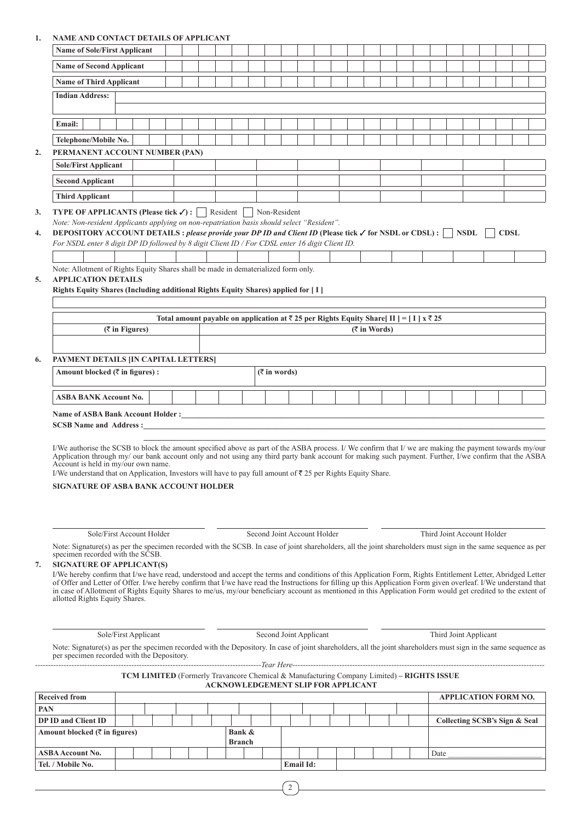## **1. NAME AND CONTACT DETAILS OF APPLICANT**

Tel. / Mobile No.

|            | <b>Name of Sole/First Applicant</b>                                                                                                                                                                                                                                                                                                                                                                                                                                                                                                                                                                                                                                                                                                                                         |                                                                                           |  |                                                                                                             |  |  |                         |  |                                           |                  |  |                 |  |      |                               |             |  |  |
|------------|-----------------------------------------------------------------------------------------------------------------------------------------------------------------------------------------------------------------------------------------------------------------------------------------------------------------------------------------------------------------------------------------------------------------------------------------------------------------------------------------------------------------------------------------------------------------------------------------------------------------------------------------------------------------------------------------------------------------------------------------------------------------------------|-------------------------------------------------------------------------------------------|--|-------------------------------------------------------------------------------------------------------------|--|--|-------------------------|--|-------------------------------------------|------------------|--|-----------------|--|------|-------------------------------|-------------|--|--|
|            | <b>Name of Second Applicant</b>                                                                                                                                                                                                                                                                                                                                                                                                                                                                                                                                                                                                                                                                                                                                             |                                                                                           |  |                                                                                                             |  |  |                         |  |                                           |                  |  |                 |  |      |                               |             |  |  |
|            | <b>Name of Third Applicant</b>                                                                                                                                                                                                                                                                                                                                                                                                                                                                                                                                                                                                                                                                                                                                              |                                                                                           |  |                                                                                                             |  |  |                         |  |                                           |                  |  |                 |  |      |                               |             |  |  |
|            | <b>Indian Address:</b>                                                                                                                                                                                                                                                                                                                                                                                                                                                                                                                                                                                                                                                                                                                                                      |                                                                                           |  |                                                                                                             |  |  |                         |  |                                           |                  |  |                 |  |      |                               |             |  |  |
|            | Email:                                                                                                                                                                                                                                                                                                                                                                                                                                                                                                                                                                                                                                                                                                                                                                      |                                                                                           |  |                                                                                                             |  |  |                         |  |                                           |                  |  |                 |  |      |                               |             |  |  |
|            | Telephone/Mobile No.                                                                                                                                                                                                                                                                                                                                                                                                                                                                                                                                                                                                                                                                                                                                                        |                                                                                           |  |                                                                                                             |  |  |                         |  |                                           |                  |  |                 |  |      |                               |             |  |  |
| 2.         | PERMANENT ACCOUNT NUMBER (PAN)                                                                                                                                                                                                                                                                                                                                                                                                                                                                                                                                                                                                                                                                                                                                              |                                                                                           |  |                                                                                                             |  |  |                         |  |                                           |                  |  |                 |  |      |                               |             |  |  |
|            | <b>Sole/First Applicant</b>                                                                                                                                                                                                                                                                                                                                                                                                                                                                                                                                                                                                                                                                                                                                                 |                                                                                           |  |                                                                                                             |  |  |                         |  |                                           |                  |  |                 |  |      |                               |             |  |  |
|            | <b>Second Applicant</b>                                                                                                                                                                                                                                                                                                                                                                                                                                                                                                                                                                                                                                                                                                                                                     |                                                                                           |  |                                                                                                             |  |  |                         |  |                                           |                  |  |                 |  |      |                               |             |  |  |
|            | <b>Third Applicant</b>                                                                                                                                                                                                                                                                                                                                                                                                                                                                                                                                                                                                                                                                                                                                                      |                                                                                           |  |                                                                                                             |  |  |                         |  |                                           |                  |  |                 |  |      |                               |             |  |  |
| 3.<br>4.   | TYPE OF APPLICANTS (Please tick √) : □ Resident □ Non-Resident<br>Note: Non-resident Applicants applying on non-repatriation basis should select "Resident".<br>DEPOSITORY ACCOUNT DETAILS : please provide your DP ID and Client ID (Please tick $\checkmark$ for NSDL or CDSL) : $\Box$ NSDL                                                                                                                                                                                                                                                                                                                                                                                                                                                                              |                                                                                           |  |                                                                                                             |  |  |                         |  |                                           |                  |  |                 |  |      |                               | <b>CDSL</b> |  |  |
|            | For NSDL enter 8 digit DP ID followed by 8 digit Client ID / For CDSL enter 16 digit Client ID.                                                                                                                                                                                                                                                                                                                                                                                                                                                                                                                                                                                                                                                                             |                                                                                           |  |                                                                                                             |  |  |                         |  |                                           |                  |  |                 |  |      |                               |             |  |  |
|            |                                                                                                                                                                                                                                                                                                                                                                                                                                                                                                                                                                                                                                                                                                                                                                             |                                                                                           |  |                                                                                                             |  |  |                         |  |                                           |                  |  |                 |  |      |                               |             |  |  |
|            | Note: Allotment of Rights Equity Shares shall be made in dematerialized form only.                                                                                                                                                                                                                                                                                                                                                                                                                                                                                                                                                                                                                                                                                          |                                                                                           |  |                                                                                                             |  |  |                         |  |                                           |                  |  |                 |  |      |                               |             |  |  |
| 5.         | <b>APPLICATION DETAILS</b><br>Rights Equity Shares (Including additional Rights Equity Shares) applied for [ I ]                                                                                                                                                                                                                                                                                                                                                                                                                                                                                                                                                                                                                                                            |                                                                                           |  |                                                                                                             |  |  |                         |  |                                           |                  |  |                 |  |      |                               |             |  |  |
|            |                                                                                                                                                                                                                                                                                                                                                                                                                                                                                                                                                                                                                                                                                                                                                                             |                                                                                           |  |                                                                                                             |  |  |                         |  |                                           |                  |  |                 |  |      |                               |             |  |  |
|            |                                                                                                                                                                                                                                                                                                                                                                                                                                                                                                                                                                                                                                                                                                                                                                             |                                                                                           |  | Total amount payable on application at $\bar{\tau}$ 25 per Rights Equity Share [II] = [I] x $\bar{\tau}$ 25 |  |  |                         |  |                                           |                  |  |                 |  |      |                               |             |  |  |
|            |                                                                                                                                                                                                                                                                                                                                                                                                                                                                                                                                                                                                                                                                                                                                                                             | $($ ₹ in Figures)                                                                         |  |                                                                                                             |  |  |                         |  |                                           |                  |  | $($ ₹ in Words) |  |      |                               |             |  |  |
|            |                                                                                                                                                                                                                                                                                                                                                                                                                                                                                                                                                                                                                                                                                                                                                                             |                                                                                           |  |                                                                                                             |  |  |                         |  |                                           |                  |  |                 |  |      |                               |             |  |  |
| 6.         | PAYMENT DETAILS [IN CAPITAL LETTERS]                                                                                                                                                                                                                                                                                                                                                                                                                                                                                                                                                                                                                                                                                                                                        |                                                                                           |  |                                                                                                             |  |  |                         |  |                                           |                  |  |                 |  |      |                               |             |  |  |
|            | Amount blocked $(\bar{\tau}$ in figures) :                                                                                                                                                                                                                                                                                                                                                                                                                                                                                                                                                                                                                                                                                                                                  |                                                                                           |  |                                                                                                             |  |  |                         |  | $(\overline{\zeta}$ in words)             |                  |  |                 |  |      |                               |             |  |  |
|            | ASBA BANK Account No.                                                                                                                                                                                                                                                                                                                                                                                                                                                                                                                                                                                                                                                                                                                                                       |                                                                                           |  |                                                                                                             |  |  |                         |  |                                           |                  |  |                 |  |      |                               |             |  |  |
|            | I/We authorise the SCSB to block the amount specified above as part of the ASBA process. I/We confirm that I/we are making the payment towards my/our<br>Application through my/ our bank account only and not using any third party bank account for making such payment. Further, I/we confirm that the ASBA<br>Account is held in my/our own name.<br>I/We understand that on Application, Investors will have to pay full amount of $\bar{\tau}$ 25 per Rights Equity Share.<br><b>SIGNATURE OF ASBA BANK ACCOUNT HOLDER</b>                                                                                                                                                                                                                                            |                                                                                           |  |                                                                                                             |  |  |                         |  |                                           |                  |  |                 |  |      |                               |             |  |  |
|            |                                                                                                                                                                                                                                                                                                                                                                                                                                                                                                                                                                                                                                                                                                                                                                             | Sole/First Account Holder                                                                 |  |                                                                                                             |  |  |                         |  | Second Joint Account Holder               |                  |  |                 |  |      | Third Joint Account Holder    |             |  |  |
| 7.         | Note: Signature(s) as per the specimen recorded with the SCSB. In case of joint shareholders, all the joint shareholders must sign in the same sequence as per<br>specimen recorded with the SCSB.<br><b>SIGNATURE OF APPLICANT(S)</b><br>I/We hereby confirm that I/we have read, understood and accept the terms and conditions of this Application Form, Rights Entitlement Letter, Abridged Letter<br>of Offer and Letter of Offer. I/we hereby confirm that I/we have read the Instructions for filling up this Application Form given overleaf. I/We understand that<br>in case of Allotment of Rights Equity Shares to me/us, my/our beneficiary account as mentioned in this Application Form would get credited to the extent of<br>allotted Rights Equity Shares. |                                                                                           |  |                                                                                                             |  |  |                         |  |                                           |                  |  |                 |  |      |                               |             |  |  |
|            |                                                                                                                                                                                                                                                                                                                                                                                                                                                                                                                                                                                                                                                                                                                                                                             | Sole/First Applicant                                                                      |  |                                                                                                             |  |  |                         |  | Second Joint Applicant                    |                  |  |                 |  |      | Third Joint Applicant         |             |  |  |
|            | Note: Signature(s) as per the specimen recorded with the Depository. In case of joint shareholders, all the joint shareholders must sign in the same sequence as<br>per specimen recorded with the Depository.                                                                                                                                                                                                                                                                                                                                                                                                                                                                                                                                                              |                                                                                           |  |                                                                                                             |  |  |                         |  |                                           |                  |  |                 |  |      |                               |             |  |  |
|            |                                                                                                                                                                                                                                                                                                                                                                                                                                                                                                                                                                                                                                                                                                                                                                             | TCM LIMITED (Formerly Travancore Chemical & Manufacturing Company Limited) - RIGHTS ISSUE |  |                                                                                                             |  |  |                         |  | <b>ACKNOWLEDGEMENT SLIP FOR APPLICANT</b> |                  |  |                 |  |      |                               |             |  |  |
|            | <b>Received from</b>                                                                                                                                                                                                                                                                                                                                                                                                                                                                                                                                                                                                                                                                                                                                                        |                                                                                           |  |                                                                                                             |  |  |                         |  |                                           |                  |  |                 |  |      | <b>APPLICATION FORM NO.</b>   |             |  |  |
| <b>PAN</b> |                                                                                                                                                                                                                                                                                                                                                                                                                                                                                                                                                                                                                                                                                                                                                                             |                                                                                           |  |                                                                                                             |  |  |                         |  |                                           |                  |  |                 |  |      |                               |             |  |  |
|            | <b>DP ID and Client ID</b><br>Amount blocked (₹ in figures)                                                                                                                                                                                                                                                                                                                                                                                                                                                                                                                                                                                                                                                                                                                 |                                                                                           |  |                                                                                                             |  |  | Bank &<br><b>Branch</b> |  |                                           |                  |  |                 |  |      | Collecting SCSB's Sign & Seal |             |  |  |
|            | ASBA Account No.                                                                                                                                                                                                                                                                                                                                                                                                                                                                                                                                                                                                                                                                                                                                                            |                                                                                           |  |                                                                                                             |  |  |                         |  |                                           |                  |  |                 |  | Date |                               |             |  |  |
|            | Tel. / Mobile No.                                                                                                                                                                                                                                                                                                                                                                                                                                                                                                                                                                                                                                                                                                                                                           |                                                                                           |  |                                                                                                             |  |  |                         |  |                                           | <b>Email Id:</b> |  |                 |  |      |                               |             |  |  |

| v<br>v | ٥ |
|--------|---|
|        |   |
|        |   |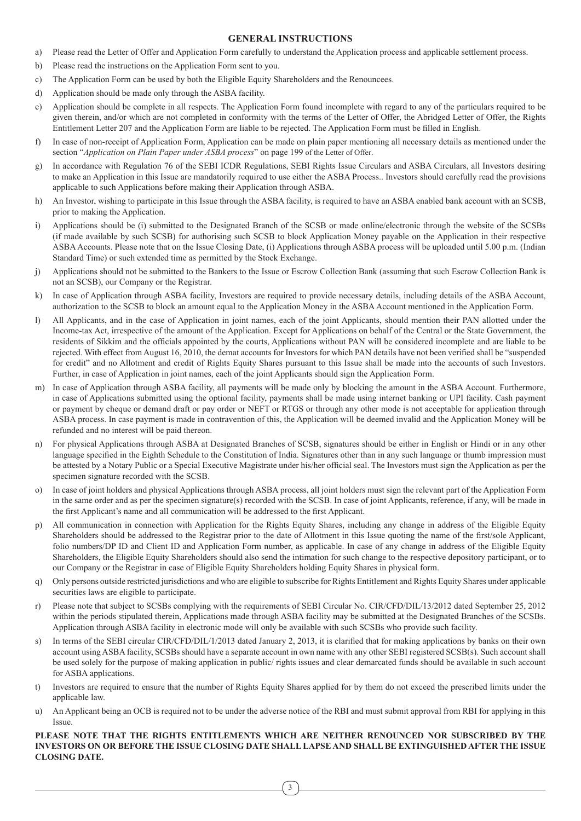## **GENERAL INSTRUCTIONS**

- a) Please read the Letter of Offer and Application Form carefully to understand the Application process and applicable settlement process.
- b) Please read the instructions on the Application Form sent to you.
- c) The Application Form can be used by both the Eligible Equity Shareholders and the Renouncees.
- d) Application should be made only through the ASBA facility.
- e) Application should be complete in all respects. The Application Form found incomplete with regard to any of the particulars required to be given therein, and/or which are not completed in conformity with the terms of the Letter of Offer, the Abridged Letter of Offer, the Rights Entitlement Letter 207 and the Application Form are liable to be rejected. The Application Form must be filled in English.
- f) In case of non-receipt of Application Form, Application can be made on plain paper mentioning all necessary details as mentioned under the section "*Application on Plain Paper under ASBA process*" on page 199 of the Letter of Offer.
- g) In accordance with Regulation 76 of the SEBI ICDR Regulations, SEBI Rights Issue Circulars and ASBA Circulars, all Investors desiring to make an Application in this Issue are mandatorily required to use either the ASBA Process.. Investors should carefully read the provisions applicable to such Applications before making their Application through ASBA.
- h) An Investor, wishing to participate in this Issue through the ASBA facility, is required to have an ASBA enabled bank account with an SCSB, prior to making the Application.
- i) Applications should be (i) submitted to the Designated Branch of the SCSB or made online/electronic through the website of the SCSBs (if made available by such SCSB) for authorising such SCSB to block Application Money payable on the Application in their respective ASBA Accounts. Please note that on the Issue Closing Date, (i) Applications through ASBA process will be uploaded until 5.00 p.m. (Indian Standard Time) or such extended time as permitted by the Stock Exchange.
- j) Applications should not be submitted to the Bankers to the Issue or Escrow Collection Bank (assuming that such Escrow Collection Bank is not an SCSB), our Company or the Registrar.
- k) In case of Application through ASBA facility, Investors are required to provide necessary details, including details of the ASBA Account, authorization to the SCSB to block an amount equal to the Application Money in the ASBA Account mentioned in the Application Form.
- l) All Applicants, and in the case of Application in joint names, each of the joint Applicants, should mention their PAN allotted under the Income-tax Act, irrespective of the amount of the Application. Except for Applications on behalf of the Central or the State Government, the residents of Sikkim and the officials appointed by the courts, Applications without PAN will be considered incomplete and are liable to be rejected. With effect from August 16, 2010, the demat accounts for Investors for which PAN details have not been verified shall be "suspended for credit" and no Allotment and credit of Rights Equity Shares pursuant to this Issue shall be made into the accounts of such Investors. Further, in case of Application in joint names, each of the joint Applicants should sign the Application Form.
- m) In case of Application through ASBA facility, all payments will be made only by blocking the amount in the ASBA Account. Furthermore, in case of Applications submitted using the optional facility, payments shall be made using internet banking or UPI facility. Cash payment or payment by cheque or demand draft or pay order or NEFT or RTGS or through any other mode is not acceptable for application through ASBA process. In case payment is made in contravention of this, the Application will be deemed invalid and the Application Money will be refunded and no interest will be paid thereon.
- n) For physical Applications through ASBA at Designated Branches of SCSB, signatures should be either in English or Hindi or in any other language specified in the Eighth Schedule to the Constitution of India. Signatures other than in any such language or thumb impression must be attested by a Notary Public or a Special Executive Magistrate under his/her official seal. The Investors must sign the Application as per the specimen signature recorded with the SCSB.
- o) In case of joint holders and physical Applications through ASBA process, all joint holders must sign the relevant part of the Application Form in the same order and as per the specimen signature(s) recorded with the SCSB. In case of joint Applicants, reference, if any, will be made in the first Applicant's name and all communication will be addressed to the first Applicant.
- p) All communication in connection with Application for the Rights Equity Shares, including any change in address of the Eligible Equity Shareholders should be addressed to the Registrar prior to the date of Allotment in this Issue quoting the name of the first/sole Applicant, folio numbers/DP ID and Client ID and Application Form number, as applicable. In case of any change in address of the Eligible Equity Shareholders, the Eligible Equity Shareholders should also send the intimation for such change to the respective depository participant, or to our Company or the Registrar in case of Eligible Equity Shareholders holding Equity Shares in physical form.
- q) Only persons outside restricted jurisdictions and who are eligible to subscribe for Rights Entitlement and Rights Equity Shares under applicable securities laws are eligible to participate.
- r) Please note that subject to SCSBs complying with the requirements of SEBI Circular No. CIR/CFD/DIL/13/2012 dated September 25, 2012 within the periods stipulated therein, Applications made through ASBA facility may be submitted at the Designated Branches of the SCSBs. Application through ASBA facility in electronic mode will only be available with such SCSBs who provide such facility.
- s) In terms of the SEBI circular CIR/CFD/DIL/1/2013 dated January 2, 2013, it is clarified that for making applications by banks on their own account using ASBA facility, SCSBs should have a separate account in own name with any other SEBI registered SCSB(s). Such account shall be used solely for the purpose of making application in public/ rights issues and clear demarcated funds should be available in such account for ASBA applications.
- t) Investors are required to ensure that the number of Rights Equity Shares applied for by them do not exceed the prescribed limits under the applicable law.
- u) An Applicant being an OCB is required not to be under the adverse notice of the RBI and must submit approval from RBI for applying in this Issue.

**PLEASE NOTE THAT THE RIGHTS ENTITLEMENTS WHICH ARE NEITHER RENOUNCED NOR SUBSCRIBED BY THE INVESTORS ON OR BEFORE THE ISSUE CLOSING DATE SHALL LAPSE AND SHALL BE EXTINGUISHED AFTER THE ISSUE CLOSING DATE.**